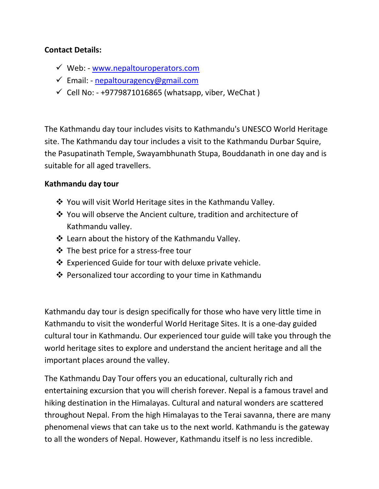## **Contact Details:**

- $\checkmark$  Web: [www.nepaltouroperators.com](file:///C:/Users/User/Desktop/New%20Content/Nepal%20Trekking/www.nepaltouroperators.com)
- Email: [nepaltouragency@gmail.com](mailto:nepaltouragency@gmail.com)
- $\checkmark$  Cell No: +9779871016865 (whatsapp, viber, WeChat)

The Kathmandu day tour includes visits to Kathmandu's UNESCO World Heritage site. The Kathmandu day tour includes a visit to the Kathmandu Durbar Squire, the Pasupatinath Temple, Swayambhunath Stupa, Bouddanath in one day and is suitable for all aged travellers.

# **Kathmandu day tour**

- ❖ You will visit World Heritage sites in the Kathmandu Valley.
- You will observe the Ancient culture, tradition and architecture of Kathmandu valley.
- Learn about the history of the Kathmandu Valley.
- $\cdot$  The best price for a stress-free tour
- Experienced Guide for tour with deluxe private vehicle.
- ❖ Personalized tour according to your time in Kathmandu

Kathmandu day tour is design specifically for those who have very little time in Kathmandu to visit the wonderful World Heritage Sites. It is a one-day guided cultural tour in Kathmandu. Our experienced tour guide will take you through the world heritage sites to explore and understand the ancient heritage and all the important places around the valley.

The Kathmandu Day Tour offers you an educational, culturally rich and entertaining excursion that you will cherish forever. Nepal is a famous travel and hiking destination in the Himalayas. Cultural and natural wonders are scattered throughout Nepal. From the high Himalayas to the Terai savanna, there are many phenomenal views that can take us to the next world. Kathmandu is the gateway to all the wonders of Nepal. However, Kathmandu itself is no less incredible.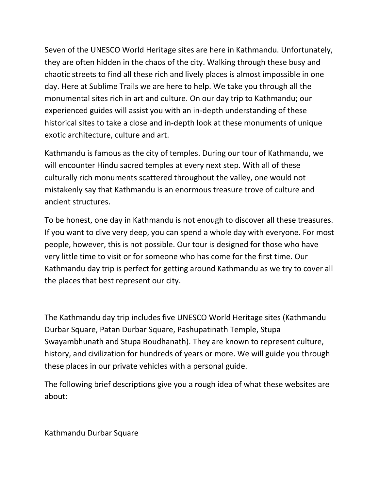Seven of the UNESCO World Heritage sites are here in Kathmandu. Unfortunately, they are often hidden in the chaos of the city. Walking through these busy and chaotic streets to find all these rich and lively places is almost impossible in one day. Here at Sublime Trails we are here to help. We take you through all the monumental sites rich in art and culture. On our day trip to Kathmandu; our experienced guides will assist you with an in-depth understanding of these historical sites to take a close and in-depth look at these monuments of unique exotic architecture, culture and art.

Kathmandu is famous as the city of temples. During our tour of Kathmandu, we will encounter Hindu sacred temples at every next step. With all of these culturally rich monuments scattered throughout the valley, one would not mistakenly say that Kathmandu is an enormous treasure trove of culture and ancient structures.

To be honest, one day in Kathmandu is not enough to discover all these treasures. If you want to dive very deep, you can spend a whole day with everyone. For most people, however, this is not possible. Our tour is designed for those who have very little time to visit or for someone who has come for the first time. Our Kathmandu day trip is perfect for getting around Kathmandu as we try to cover all the places that best represent our city.

The Kathmandu day trip includes five UNESCO World Heritage sites (Kathmandu Durbar Square, Patan Durbar Square, Pashupatinath Temple, Stupa Swayambhunath and Stupa Boudhanath). They are known to represent culture, history, and civilization for hundreds of years or more. We will guide you through these places in our private vehicles with a personal guide.

The following brief descriptions give you a rough idea of what these websites are about:

Kathmandu Durbar Square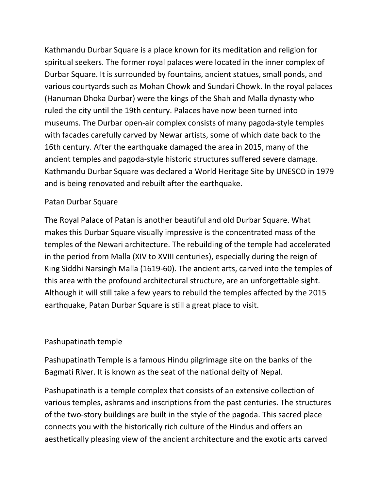Kathmandu Durbar Square is a place known for its meditation and religion for spiritual seekers. The former royal palaces were located in the inner complex of Durbar Square. It is surrounded by fountains, ancient statues, small ponds, and various courtyards such as Mohan Chowk and Sundari Chowk. In the royal palaces (Hanuman Dhoka Durbar) were the kings of the Shah and Malla dynasty who ruled the city until the 19th century. Palaces have now been turned into museums. The Durbar open-air complex consists of many pagoda-style temples with facades carefully carved by Newar artists, some of which date back to the 16th century. After the earthquake damaged the area in 2015, many of the ancient temples and pagoda-style historic structures suffered severe damage. Kathmandu Durbar Square was declared a World Heritage Site by UNESCO in 1979 and is being renovated and rebuilt after the earthquake.

## Patan Durbar Square

The Royal Palace of Patan is another beautiful and old Durbar Square. What makes this Durbar Square visually impressive is the concentrated mass of the temples of the Newari architecture. The rebuilding of the temple had accelerated in the period from Malla (XIV to XVIII centuries), especially during the reign of King Siddhi Narsingh Malla (1619-60). The ancient arts, carved into the temples of this area with the profound architectural structure, are an unforgettable sight. Although it will still take a few years to rebuild the temples affected by the 2015 earthquake, Patan Durbar Square is still a great place to visit.

## Pashupatinath temple

Pashupatinath Temple is a famous Hindu pilgrimage site on the banks of the Bagmati River. It is known as the seat of the national deity of Nepal.

Pashupatinath is a temple complex that consists of an extensive collection of various temples, ashrams and inscriptions from the past centuries. The structures of the two-story buildings are built in the style of the pagoda. This sacred place connects you with the historically rich culture of the Hindus and offers an aesthetically pleasing view of the ancient architecture and the exotic arts carved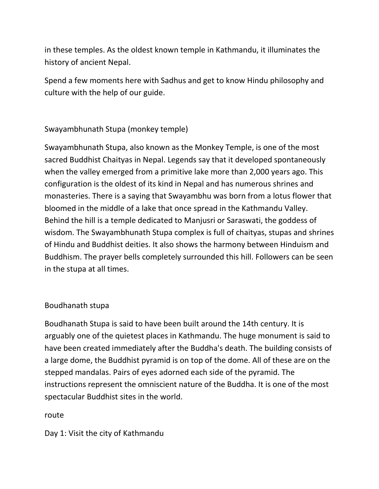in these temples. As the oldest known temple in Kathmandu, it illuminates the history of ancient Nepal.

Spend a few moments here with Sadhus and get to know Hindu philosophy and culture with the help of our guide.

Swayambhunath Stupa (monkey temple)

Swayambhunath Stupa, also known as the Monkey Temple, is one of the most sacred Buddhist Chaityas in Nepal. Legends say that it developed spontaneously when the valley emerged from a primitive lake more than 2,000 years ago. This configuration is the oldest of its kind in Nepal and has numerous shrines and monasteries. There is a saying that Swayambhu was born from a lotus flower that bloomed in the middle of a lake that once spread in the Kathmandu Valley. Behind the hill is a temple dedicated to Manjusri or Saraswati, the goddess of wisdom. The Swayambhunath Stupa complex is full of chaityas, stupas and shrines of Hindu and Buddhist deities. It also shows the harmony between Hinduism and Buddhism. The prayer bells completely surrounded this hill. Followers can be seen in the stupa at all times.

## Boudhanath stupa

Boudhanath Stupa is said to have been built around the 14th century. It is arguably one of the quietest places in Kathmandu. The huge monument is said to have been created immediately after the Buddha's death. The building consists of a large dome, the Buddhist pyramid is on top of the dome. All of these are on the stepped mandalas. Pairs of eyes adorned each side of the pyramid. The instructions represent the omniscient nature of the Buddha. It is one of the most spectacular Buddhist sites in the world.

## route

Day 1: Visit the city of Kathmandu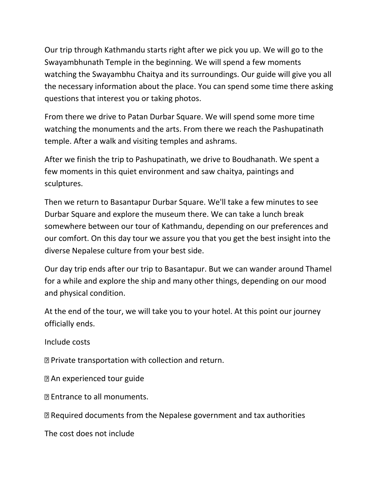Our trip through Kathmandu starts right after we pick you up. We will go to the Swayambhunath Temple in the beginning. We will spend a few moments watching the Swayambhu Chaitya and its surroundings. Our guide will give you all the necessary information about the place. You can spend some time there asking questions that interest you or taking photos.

From there we drive to Patan Durbar Square. We will spend some more time watching the monuments and the arts. From there we reach the Pashupatinath temple. After a walk and visiting temples and ashrams.

After we finish the trip to Pashupatinath, we drive to Boudhanath. We spent a few moments in this quiet environment and saw chaitya, paintings and sculptures.

Then we return to Basantapur Durbar Square. We'll take a few minutes to see Durbar Square and explore the museum there. We can take a lunch break somewhere between our tour of Kathmandu, depending on our preferences and our comfort. On this day tour we assure you that you get the best insight into the diverse Nepalese culture from your best side.

Our day trip ends after our trip to Basantapur. But we can wander around Thamel for a while and explore the ship and many other things, depending on our mood and physical condition.

At the end of the tour, we will take you to your hotel. At this point our journey officially ends.

Include costs

Private transportation with collection and return.

An experienced tour guide

Entrance to all monuments.

Required documents from the Nepalese government and tax authorities

The cost does not include